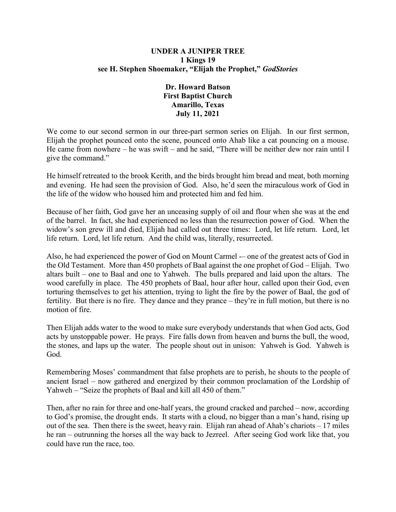### **UNDER A JUNIPER TREE 1 Kings 19 see H. Stephen Shoemaker, "Elijah the Prophet,"** *GodStories*

### **Dr. Howard Batson First Baptist Church Amarillo, Texas July 11, 2021**

We come to our second sermon in our three-part sermon series on Elijah. In our first sermon, Elijah the prophet pounced onto the scene, pounced onto Ahab like a cat pouncing on a mouse. He came from nowhere – he was swift – and he said, "There will be neither dew nor rain until I give the command."

He himself retreated to the brook Kerith, and the birds brought him bread and meat, both morning and evening. He had seen the provision of God. Also, he'd seen the miraculous work of God in the life of the widow who housed him and protected him and fed him.

Because of her faith, God gave her an unceasing supply of oil and flour when she was at the end of the barrel. In fact, she had experienced no less than the resurrection power of God. When the widow's son grew ill and died, Elijah had called out three times: Lord, let life return. Lord, let life return. Lord, let life return. And the child was, literally, resurrected.

Also, he had experienced the power of God on Mount Carmel -– one of the greatest acts of God in the Old Testament. More than 450 prophets of Baal against the one prophet of God – Elijah. Two altars built – one to Baal and one to Yahweh. The bulls prepared and laid upon the altars. The wood carefully in place. The 450 prophets of Baal, hour after hour, called upon their God, even torturing themselves to get his attention, trying to light the fire by the power of Baal, the god of fertility. But there is no fire. They dance and they prance – they're in full motion, but there is no motion of fire.

Then Elijah adds water to the wood to make sure everybody understands that when God acts, God acts by unstoppable power. He prays. Fire falls down from heaven and burns the bull, the wood, the stones, and laps up the water. The people shout out in unison: Yahweh is God. Yahweh is God.

Remembering Moses' commandment that false prophets are to perish, he shouts to the people of ancient Israel – now gathered and energized by their common proclamation of the Lordship of Yahweh – "Seize the prophets of Baal and kill all 450 of them."

Then, after no rain for three and one-half years, the ground cracked and parched – now, according to God's promise, the drought ends. It starts with a cloud, no bigger than a man's hand, rising up out of the sea. Then there is the sweet, heavy rain. Elijah ran ahead of Ahab's chariots – 17 miles he ran – outrunning the horses all the way back to Jezreel. After seeing God work like that, you could have run the race, too.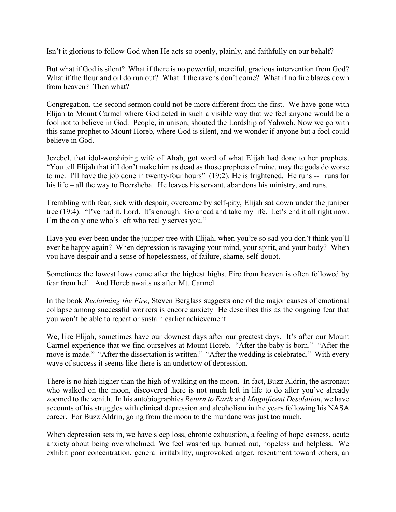Isn't it glorious to follow God when He acts so openly, plainly, and faithfully on our behalf?

But what if God is silent? What if there is no powerful, merciful, gracious intervention from God? What if the flour and oil do run out? What if the ravens don't come? What if no fire blazes down from heaven? Then what?

Congregation, the second sermon could not be more different from the first. We have gone with Elijah to Mount Carmel where God acted in such a visible way that we feel anyone would be a fool not to believe in God. People, in unison, shouted the Lordship of Yahweh. Now we go with this same prophet to Mount Horeb, where God is silent, and we wonder if anyone but a fool could believe in God.

Jezebel, that idol-worshiping wife of Ahab, got word of what Elijah had done to her prophets. "You tell Elijah that if I don't make him as dead as those prophets of mine, may the gods do worse to me. I'll have the job done in twenty-four hours" (19:2). He is frightened. He runs --– runs for his life – all the way to Beersheba. He leaves his servant, abandons his ministry, and runs.

Trembling with fear, sick with despair, overcome by self-pity, Elijah sat down under the juniper tree (19:4). "I've had it, Lord. It's enough. Go ahead and take my life. Let's end it all right now. I'm the only one who's left who really serves you."

Have you ever been under the juniper tree with Elijah, when you're so sad you don't think you'll ever be happy again? When depression is ravaging your mind, your spirit, and your body? When you have despair and a sense of hopelessness, of failure, shame, self-doubt.

Sometimes the lowest lows come after the highest highs. Fire from heaven is often followed by fear from hell. And Horeb awaits us after Mt. Carmel.

In the book *Reclaiming the Fire*, Steven Berglass suggests one of the major causes of emotional collapse among successful workers is encore anxiety He describes this as the ongoing fear that you won't be able to repeat or sustain earlier achievement.

We, like Elijah, sometimes have our downest days after our greatest days. It's after our Mount Carmel experience that we find ourselves at Mount Horeb. "After the baby is born." "After the move is made." "After the dissertation is written." "After the wedding is celebrated." With every wave of success it seems like there is an undertow of depression.

There is no high higher than the high of walking on the moon. In fact, Buzz Aldrin, the astronaut who walked on the moon, discovered there is not much left in life to do after you've already zoomed to the zenith. In his autobiographies *Return to Earth* and *Magnificent Desolation*, we have accounts of his struggles with clinical depression and alcoholism in the years following his NASA career. For Buzz Aldrin, going from the moon to the mundane was just too much.

When depression sets in, we have sleep loss, chronic exhaustion, a feeling of hopelessness, acute anxiety about being overwhelmed. We feel washed up, burned out, hopeless and helpless. We exhibit poor concentration, general irritability, unprovoked anger, resentment toward others, an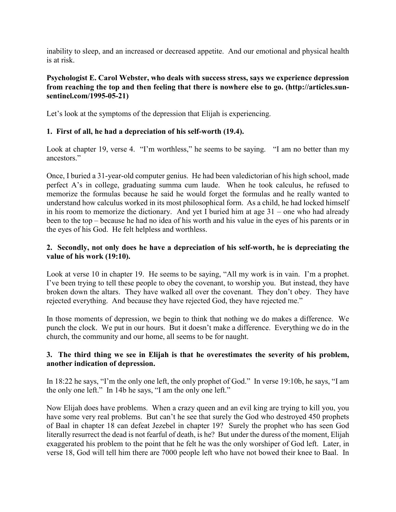inability to sleep, and an increased or decreased appetite. And our emotional and physical health is at risk.

### **Psychologist E. Carol Webster, who deals with success stress, says we experience depression from reaching the top and then feeling that there is nowhere else to go. (http://articles.sunsentinel.com/1995-05-21)**

Let's look at the symptoms of the depression that Elijah is experiencing.

## **1. First of all, he had a depreciation of his self-worth (19.4).**

Look at chapter 19, verse 4. "I'm worthless," he seems to be saying. "I am no better than my ancestors."

Once, I buried a 31-year-old computer genius. He had been valedictorian of his high school, made perfect A's in college, graduating summa cum laude. When he took calculus, he refused to memorize the formulas because he said he would forget the formulas and he really wanted to understand how calculus worked in its most philosophical form. As a child, he had locked himself in his room to memorize the dictionary. And yet I buried him at age 31 – one who had already been to the top – because he had no idea of his worth and his value in the eyes of his parents or in the eyes of his God. He felt helpless and worthless.

## **2. Secondly, not only does he have a depreciation of his self-worth, he is depreciating the value of his work (19:10).**

Look at verse 10 in chapter 19. He seems to be saying, "All my work is in vain. I'm a prophet. I've been trying to tell these people to obey the covenant, to worship you. But instead, they have broken down the altars. They have walked all over the covenant. They don't obey. They have rejected everything. And because they have rejected God, they have rejected me."

In those moments of depression, we begin to think that nothing we do makes a difference. We punch the clock. We put in our hours. But it doesn't make a difference. Everything we do in the church, the community and our home, all seems to be for naught.

# **3. The third thing we see in Elijah is that he overestimates the severity of his problem, another indication of depression.**

In 18:22 he says, "I'm the only one left, the only prophet of God." In verse 19:10b, he says, "I am the only one left." In 14b he says, "I am the only one left."

Now Elijah does have problems. When a crazy queen and an evil king are trying to kill you, you have some very real problems. But can't he see that surely the God who destroyed 450 prophets of Baal in chapter 18 can defeat Jezebel in chapter 19? Surely the prophet who has seen God literally resurrect the dead is not fearful of death, is he? But under the duress of the moment, Elijah exaggerated his problem to the point that he felt he was the only worshiper of God left. Later, in verse 18, God will tell him there are 7000 people left who have not bowed their knee to Baal. In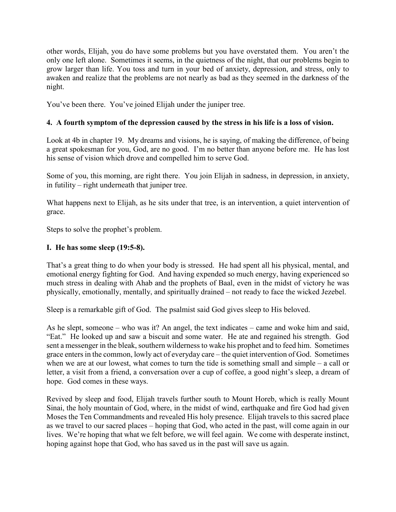other words, Elijah, you do have some problems but you have overstated them. You aren't the only one left alone. Sometimes it seems, in the quietness of the night, that our problems begin to grow larger than life. You toss and turn in your bed of anxiety, depression, and stress, only to awaken and realize that the problems are not nearly as bad as they seemed in the darkness of the night.

You've been there. You've joined Elijah under the juniper tree.

# **4. A fourth symptom of the depression caused by the stress in his life is a loss of vision.**

Look at 4b in chapter 19. My dreams and visions, he is saying, of making the difference, of being a great spokesman for you, God, are no good. I'm no better than anyone before me. He has lost his sense of vision which drove and compelled him to serve God.

Some of you, this morning, are right there. You join Elijah in sadness, in depression, in anxiety, in futility – right underneath that juniper tree.

What happens next to Elijah, as he sits under that tree, is an intervention, a quiet intervention of grace.

Steps to solve the prophet's problem.

# **I. He has some sleep (19:5-8).**

That's a great thing to do when your body is stressed. He had spent all his physical, mental, and emotional energy fighting for God. And having expended so much energy, having experienced so much stress in dealing with Ahab and the prophets of Baal, even in the midst of victory he was physically, emotionally, mentally, and spiritually drained – not ready to face the wicked Jezebel.

Sleep is a remarkable gift of God. The psalmist said God gives sleep to His beloved.

As he slept, someone – who was it? An angel, the text indicates – came and woke him and said, "Eat." He looked up and saw a biscuit and some water. He ate and regained his strength. God sent a messenger in the bleak, southern wilderness to wake his prophet and to feed him. Sometimes grace enters in the common, lowly act of everyday care – the quiet intervention of God. Sometimes when we are at our lowest, what comes to turn the tide is something small and simple – a call or letter, a visit from a friend, a conversation over a cup of coffee, a good night's sleep, a dream of hope. God comes in these ways.

Revived by sleep and food, Elijah travels further south to Mount Horeb, which is really Mount Sinai, the holy mountain of God, where, in the midst of wind, earthquake and fire God had given Moses the Ten Commandments and revealed His holy presence. Elijah travels to this sacred place as we travel to our sacred places – hoping that God, who acted in the past, will come again in our lives. We're hoping that what we felt before, we will feel again. We come with desperate instinct, hoping against hope that God, who has saved us in the past will save us again.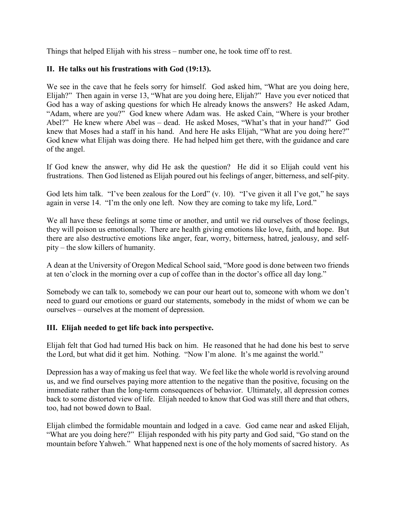Things that helped Elijah with his stress – number one, he took time off to rest.

## **II. He talks out his frustrations with God (19:13).**

We see in the cave that he feels sorry for himself. God asked him, "What are you doing here, Elijah?" Then again in verse 13, "What are you doing here, Elijah?" Have you ever noticed that God has a way of asking questions for which He already knows the answers? He asked Adam, "Adam, where are you?" God knew where Adam was. He asked Cain, "Where is your brother Abel?" He knew where Abel was – dead. He asked Moses, "What's that in your hand?" God knew that Moses had a staff in his hand. And here He asks Elijah, "What are you doing here?" God knew what Elijah was doing there. He had helped him get there, with the guidance and care of the angel.

If God knew the answer, why did He ask the question? He did it so Elijah could vent his frustrations. Then God listened as Elijah poured out his feelings of anger, bitterness, and self-pity.

God lets him talk. "I've been zealous for the Lord" (v. 10). "I've given it all I've got," he says again in verse 14. "I'm the only one left. Now they are coming to take my life, Lord."

We all have these feelings at some time or another, and until we rid ourselves of those feelings, they will poison us emotionally. There are health giving emotions like love, faith, and hope. But there are also destructive emotions like anger, fear, worry, bitterness, hatred, jealousy, and selfpity – the slow killers of humanity.

A dean at the University of Oregon Medical School said, "More good is done between two friends at ten o'clock in the morning over a cup of coffee than in the doctor's office all day long."

Somebody we can talk to, somebody we can pour our heart out to, someone with whom we don't need to guard our emotions or guard our statements, somebody in the midst of whom we can be ourselves – ourselves at the moment of depression.

### **III. Elijah needed to get life back into perspective.**

Elijah felt that God had turned His back on him. He reasoned that he had done his best to serve the Lord, but what did it get him. Nothing. "Now I'm alone. It's me against the world."

Depression has a way of making us feel that way. We feel like the whole world is revolving around us, and we find ourselves paying more attention to the negative than the positive, focusing on the immediate rather than the long-term consequences of behavior. Ultimately, all depression comes back to some distorted view of life. Elijah needed to know that God was still there and that others, too, had not bowed down to Baal.

Elijah climbed the formidable mountain and lodged in a cave. God came near and asked Elijah, "What are you doing here?" Elijah responded with his pity party and God said, "Go stand on the mountain before Yahweh." What happened next is one of the holy moments of sacred history. As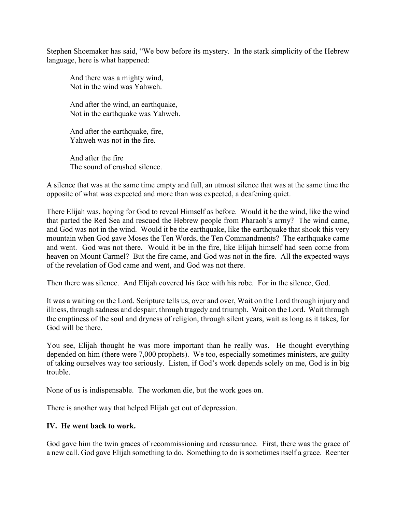Stephen Shoemaker has said, "We bow before its mystery. In the stark simplicity of the Hebrew language, here is what happened:

And there was a mighty wind, Not in the wind was Yahweh.

And after the wind, an earthquake, Not in the earthquake was Yahweh.

And after the earthquake, fire, Yahweh was not in the fire.

And after the fire The sound of crushed silence.

A silence that was at the same time empty and full, an utmost silence that was at the same time the opposite of what was expected and more than was expected, a deafening quiet.

There Elijah was, hoping for God to reveal Himself as before. Would it be the wind, like the wind that parted the Red Sea and rescued the Hebrew people from Pharaoh's army? The wind came, and God was not in the wind. Would it be the earthquake, like the earthquake that shook this very mountain when God gave Moses the Ten Words, the Ten Commandments? The earthquake came and went. God was not there. Would it be in the fire, like Elijah himself had seen come from heaven on Mount Carmel? But the fire came, and God was not in the fire. All the expected ways of the revelation of God came and went, and God was not there.

Then there was silence. And Elijah covered his face with his robe. For in the silence, God.

It was a waiting on the Lord. Scripture tells us, over and over, Wait on the Lord through injury and illness, through sadness and despair, through tragedy and triumph. Wait on the Lord. Wait through the emptiness of the soul and dryness of religion, through silent years, wait as long as it takes, for God will be there.

You see, Elijah thought he was more important than he really was. He thought everything depended on him (there were 7,000 prophets). We too, especially sometimes ministers, are guilty of taking ourselves way too seriously. Listen, if God's work depends solely on me, God is in big trouble.

None of us is indispensable. The workmen die, but the work goes on.

There is another way that helped Elijah get out of depression.

#### **IV. He went back to work.**

God gave him the twin graces of recommissioning and reassurance. First, there was the grace of a new call. God gave Elijah something to do. Something to do is sometimes itself a grace. Reenter